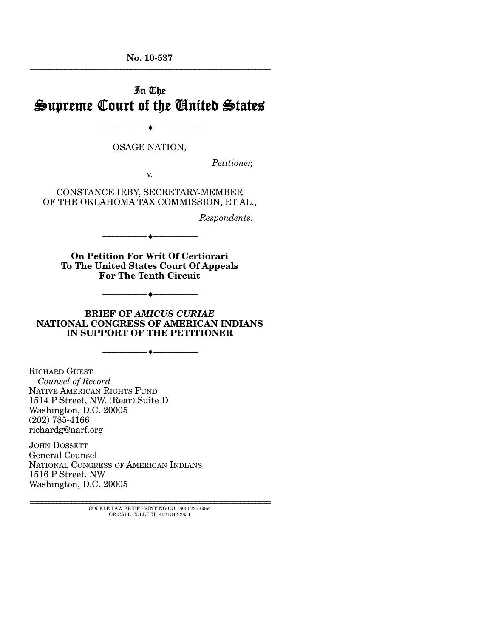**No. 10-537**  ================================================================

# In The Supreme Court of the United States

OSAGE NATION,

--------------------------------- ♦ ---------------------------------

*Petitioner,* 

v.

CONSTANCE IRBY, SECRETARY-MEMBER OF THE OKLAHOMA TAX COMMISSION, ET AL.,

*Respondents.* 

**On Petition For Writ Of Certiorari To The United States Court Of Appeals** 

--------------------------------- ♦ ---------------------------------

**For The Tenth Circuit** 

--------------------------------- ♦ ---------------------------------

**BRIEF OF** *AMICUS CURIAE* **NATIONAL CONGRESS OF AMERICAN INDIANS IN SUPPORT OF THE PETITIONER** 

--------------------------------- ♦ ---------------------------------

RICHARD GUEST *Counsel of Record* NATIVE AMERICAN RIGHTS FUND 1514 P Street, NW, (Rear) Suite D Washington, D.C. 20005 (202) 785-4166 richardg@narf.org

JOHN DOSSETT General Counsel NATIONAL CONGRESS OF AMERICAN INDIANS 1516 P Street, NW Washington, D.C. 20005

> ================================================================ COCKLE LAW BRIEF PRINTING CO. (800) 225-6964 OR CALL COLLECT (402) 342-2831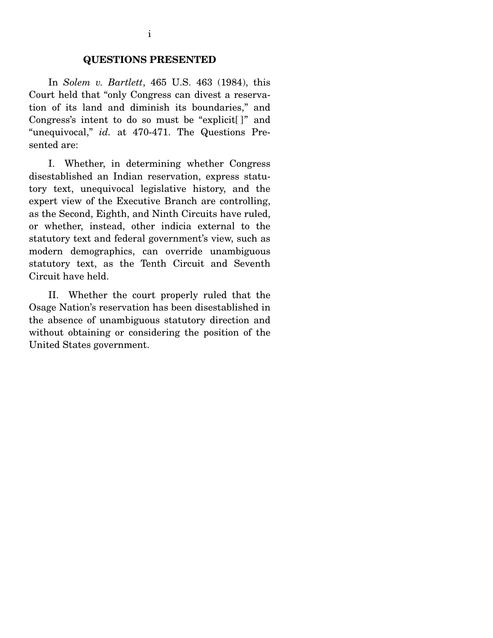#### **QUESTIONS PRESENTED**

 In *Solem v. Bartlett*, 465 U.S. 463 (1984), this Court held that "only Congress can divest a reservation of its land and diminish its boundaries," and Congress's intent to do so must be "explicit[ ]" and "unequivocal," *id.* at 470-471. The Questions Presented are:

 I. Whether, in determining whether Congress disestablished an Indian reservation, express statutory text, unequivocal legislative history, and the expert view of the Executive Branch are controlling, as the Second, Eighth, and Ninth Circuits have ruled, or whether, instead, other indicia external to the statutory text and federal government's view, such as modern demographics, can override unambiguous statutory text, as the Tenth Circuit and Seventh Circuit have held.

 II. Whether the court properly ruled that the Osage Nation's reservation has been disestablished in the absence of unambiguous statutory direction and without obtaining or considering the position of the United States government.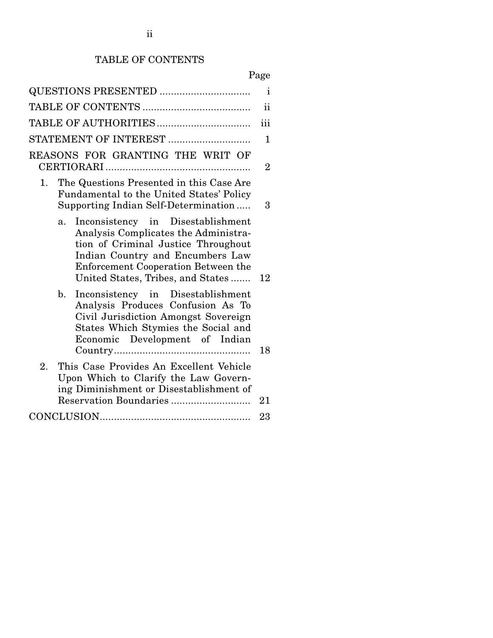# TABLE OF CONTENTS

# Page

|                                                                                                                                                                                                                                        | ii             |  |  |  |
|----------------------------------------------------------------------------------------------------------------------------------------------------------------------------------------------------------------------------------------|----------------|--|--|--|
|                                                                                                                                                                                                                                        | iii            |  |  |  |
| STATEMENT OF INTEREST                                                                                                                                                                                                                  | $\mathbf{1}$   |  |  |  |
| REASONS FOR GRANTING THE WRIT OF                                                                                                                                                                                                       | $\overline{2}$ |  |  |  |
| The Questions Presented in this Case Are<br>1.<br>Fundamental to the United States' Policy<br>Supporting Indian Self-Determination                                                                                                     | 3              |  |  |  |
| Inconsistency in Disestablishment<br>a.<br>Analysis Complicates the Administra-<br>tion of Criminal Justice Throughout<br>Indian Country and Encumbers Law<br>Enforcement Cooperation Between the<br>United States, Tribes, and States | 12             |  |  |  |
| b.<br>Inconsistency in Disestablishment<br>Analysis Produces Confusion As To<br>Civil Jurisdiction Amongst Sovereign<br>States Which Stymies the Social and<br>Economic Development of Indian                                          | 18             |  |  |  |
| $\overline{2}$ .<br>This Case Provides An Excellent Vehicle<br>Upon Which to Clarify the Law Govern-<br>ing Diminishment or Disestablishment of                                                                                        | 21             |  |  |  |
|                                                                                                                                                                                                                                        |                |  |  |  |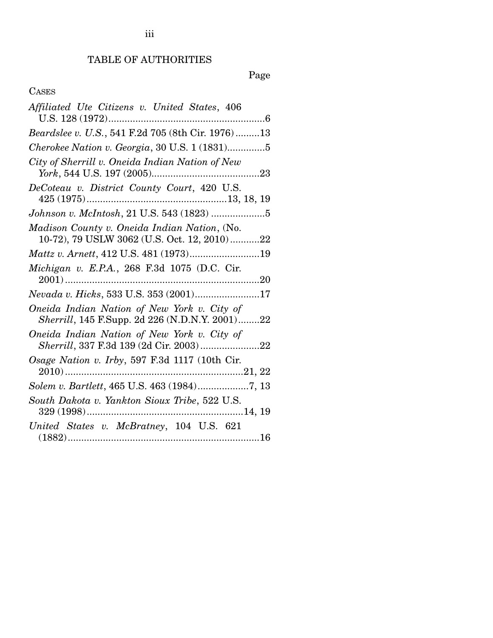# TABLE OF AUTHORITIES

Page

## CASES

| Affiliated Ute Citizens v. United States, 406                                                 |
|-----------------------------------------------------------------------------------------------|
| Beardslee v. U.S., 541 F.2d 705 (8th Cir. 1976)13                                             |
| Cherokee Nation v. Georgia, 30 U.S. 1 (1831)5                                                 |
| City of Sherrill v. Oneida Indian Nation of New                                               |
| DeCoteau v. District County Court, 420 U.S.                                                   |
| Johnson v. McIntosh, 21 U.S. 543 (1823) 5                                                     |
| Madison County v. Oneida Indian Nation, (No.<br>10-72), 79 USLW 3062 (U.S. Oct. 12, 2010)22   |
|                                                                                               |
| Michigan v. E.P.A., 268 F.3d 1075 (D.C. Cir.                                                  |
| Nevada v. Hicks, 533 U.S. 353 (2001)17                                                        |
| Oneida Indian Nation of New York v. City of<br>Sherrill, 145 F.Supp. 2d 226 (N.D.N.Y. 2001)22 |
| Oneida Indian Nation of New York v. City of<br>Sherrill, 337 F.3d 139 (2d Cir. 2003)22        |
| Osage Nation v. Irby, 597 F.3d 1117 (10th Cir.                                                |
| Solem v. Bartlett, 465 U.S. 463 (1984)7, 13                                                   |
| South Dakota v. Yankton Sioux Tribe, 522 U.S.                                                 |
| United States v. McBratney, 104 U.S. 621                                                      |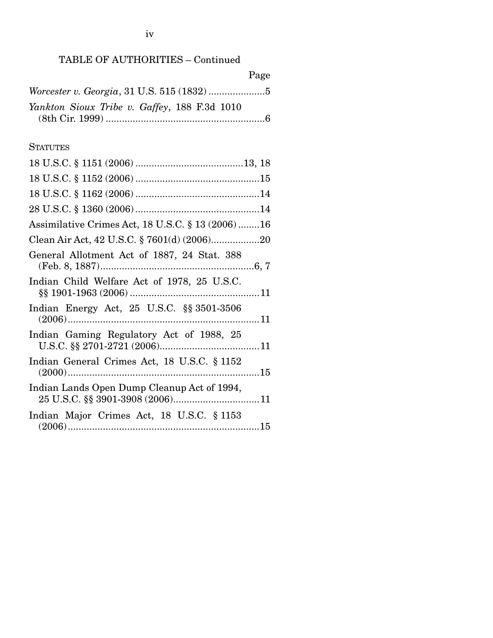|                                              | Page |
|----------------------------------------------|------|
|                                              |      |
| Yankton Sioux Tribe v. Gaffey, 188 F.3d 1010 |      |
|                                              |      |

### **STATUTES**

| Assimilative Crimes Act, 18 U.S.C. § 13 (2006)16                    |
|---------------------------------------------------------------------|
|                                                                     |
| General Allotment Act of 1887, 24 Stat. 388                         |
| Indian Child Welfare Act of 1978, 25 U.S.C.                         |
| Indian Energy Act, $25 \text{ U.S.C. }$ $\S_{\text{S}} 3501 - 3506$ |
| Indian Gaming Regulatory Act of 1988, 25                            |
| Indian General Crimes Act, 18 U.S.C. § 1152                         |
| Indian Lands Open Dump Cleanup Act of 1994,                         |
| Indian Major Crimes Act, 18 U.S.C. § 1153                           |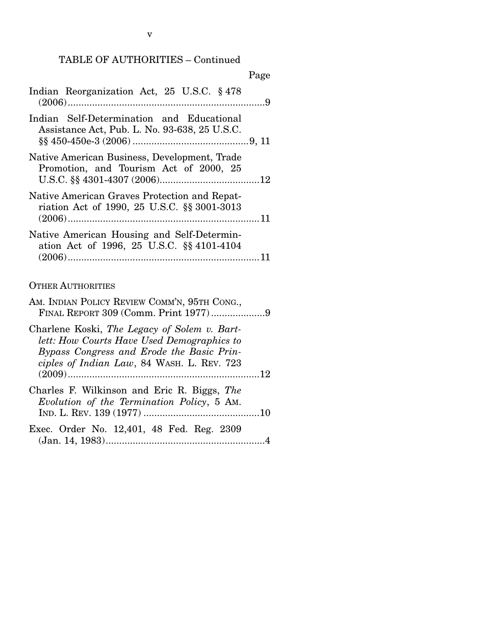#### Page

| Indian Reorganization Act, 25 U.S.C. § 478    |  |
|-----------------------------------------------|--|
|                                               |  |
| Indian Self-Determination and Educational     |  |
| Assistance Act, Pub. L. No. 93-638, 25 U.S.C. |  |
|                                               |  |

- Native American Business, Development, Trade Promotion, and Tourism Act of 2000, 25 U.S.C. §§ 4301-4307 (2006) ..................................... 12
- Native American Graves Protection and Repatriation Act of 1990, 25 U.S.C. §§ 3001-3013 (2006) ....................................................................... 11
- Native American Housing and Self-Determination Act of 1996, 25 U.S.C. §§ 4101-4104 (2006) ....................................................................... 11

#### OTHER AUTHORITIES

| AM. INDIAN POLICY REVIEW COMM'N, 95TH CONG.,<br>FINAL REPORT 309 (Comm. Print 1977)9                                                                                                  |  |
|---------------------------------------------------------------------------------------------------------------------------------------------------------------------------------------|--|
| Charlene Koski, The Legacy of Solem v. Bart-<br>lett: How Courts Have Used Demographics to<br>Bypass Congress and Erode the Basic Prin-<br>ciples of Indian Law, 84 WASH. L. REV. 723 |  |
|                                                                                                                                                                                       |  |
| Charles F. Wilkinson and Eric R. Biggs, The<br>Evolution of the Termination Policy, 5 Am.                                                                                             |  |
| Exec. Order No. 12,401, 48 Fed. Reg. 2309                                                                                                                                             |  |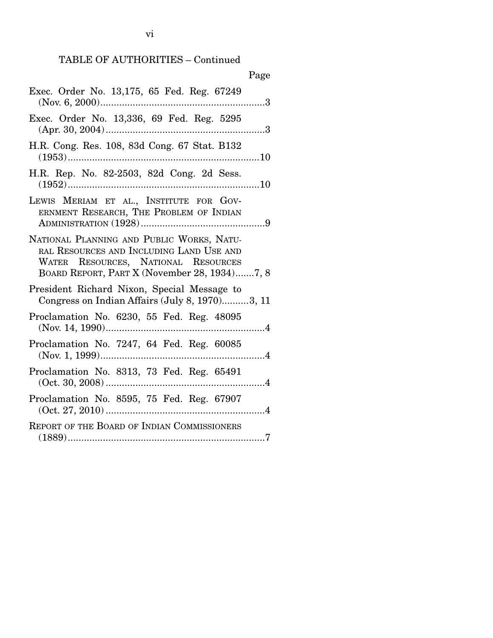|                                                                                                                                                                              | Page |
|------------------------------------------------------------------------------------------------------------------------------------------------------------------------------|------|
| Exec. Order No. 13,175, 65 Fed. Reg. 67249                                                                                                                                   |      |
| Exec. Order No. 13,336, 69 Fed. Reg. 5295                                                                                                                                    |      |
| H.R. Cong. Res. 108, 83d Cong. 67 Stat. B132                                                                                                                                 |      |
| H.R. Rep. No. 82-2503, 82d Cong. 2d Sess.                                                                                                                                    |      |
| LEWIS MERIAM ET AL., INSTITUTE FOR GOV-<br>ERNMENT RESEARCH, THE PROBLEM OF INDIAN                                                                                           |      |
| NATIONAL PLANNING AND PUBLIC WORKS, NATU-<br>RAL RESOURCES AND INCLUDING LAND USE AND<br>WATER RESOURCES, NATIONAL RESOURCES<br>BOARD REPORT, PART X (November 28, 1934)7, 8 |      |
| President Richard Nixon, Special Message to<br>Congress on Indian Affairs (July 8, 1970)3, 11                                                                                |      |
| Proclamation No. 6230, 55 Fed. Reg. 48095                                                                                                                                    |      |
| Proclamation No. 7247, 64 Fed. Reg. 60085                                                                                                                                    |      |
| Proclamation No. 8313, 73 Fed. Reg. 65491<br>$(Oct. 30, 2008)$                                                                                                               | . 4  |
| Proclamation No. 8595, 75 Fed. Reg. 67907                                                                                                                                    |      |
| <b>REPORT OF THE BOARD OF INDIAN COMMISSIONERS</b>                                                                                                                           |      |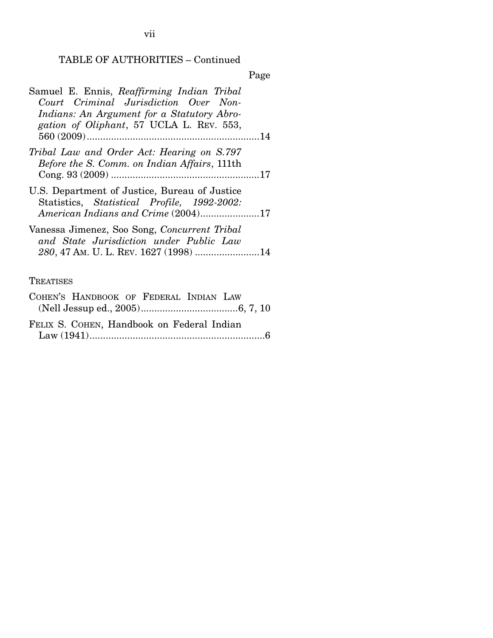Page

| Samuel E. Ennis, Reaffirming Indian Tribal<br>Court Criminal Jurisdiction Over Non-<br>Indians: An Argument for a Statutory Abro-<br>gation of Oliphant, 57 UCLA L. REV. 553, |  |
|-------------------------------------------------------------------------------------------------------------------------------------------------------------------------------|--|
|                                                                                                                                                                               |  |
| Tribal Law and Order Act: Hearing on S.797<br><i>Before the S. Comm. on Indian Affairs, 111th</i>                                                                             |  |
| U.S. Department of Justice, Bureau of Justice<br>Statistics, Statistical Profile, 1992-2002:<br>American Indians and Crime (2004)17                                           |  |
| Vanessa Jimenez, Soo Song, Concurrent Tribal<br>and State Jurisdiction under Public Law                                                                                       |  |

## **TREATISES**

| COHEN'S HANDBOOK OF FEDERAL INDIAN LAW     |  |  |  |
|--------------------------------------------|--|--|--|
|                                            |  |  |  |
| FELIX S. COHEN, Handbook on Federal Indian |  |  |  |
|                                            |  |  |  |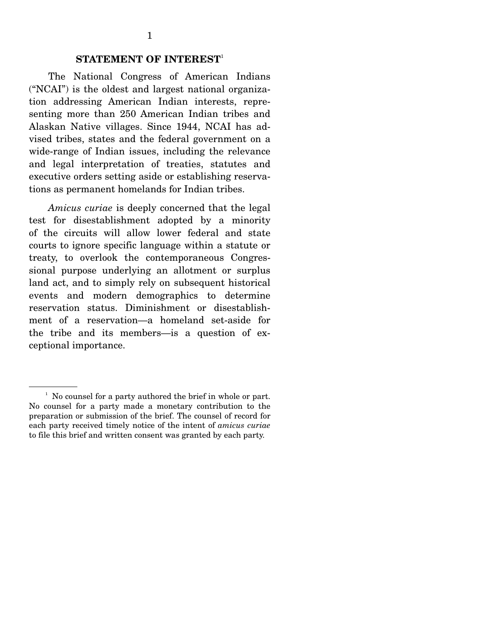The National Congress of American Indians ("NCAI") is the oldest and largest national organization addressing American Indian interests, representing more than 250 American Indian tribes and Alaskan Native villages. Since 1944, NCAI has advised tribes, states and the federal government on a wide-range of Indian issues, including the relevance and legal interpretation of treaties, statutes and executive orders setting aside or establishing reservations as permanent homelands for Indian tribes.

*Amicus curiae* is deeply concerned that the legal test for disestablishment adopted by a minority of the circuits will allow lower federal and state courts to ignore specific language within a statute or treaty, to overlook the contemporaneous Congressional purpose underlying an allotment or surplus land act, and to simply rely on subsequent historical events and modern demographics to determine reservation status. Diminishment or disestablishment of a reservation—a homeland set-aside for the tribe and its members—is a question of exceptional importance.

<sup>&</sup>lt;sup>1</sup> No counsel for a party authored the brief in whole or part. No counsel for a party made a monetary contribution to the preparation or submission of the brief. The counsel of record for each party received timely notice of the intent of *amicus curiae*  to file this brief and written consent was granted by each party.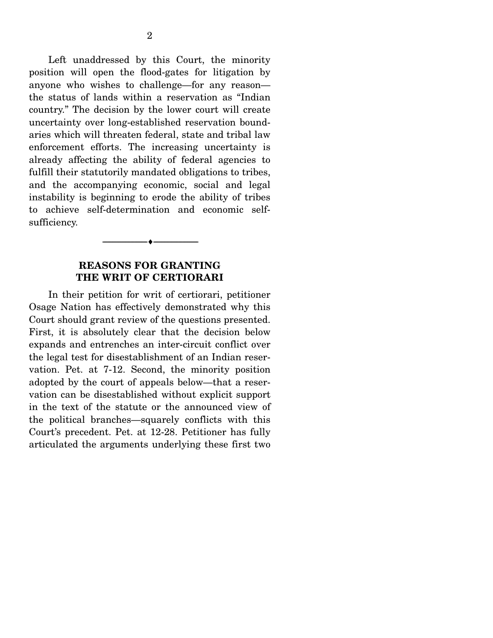Left unaddressed by this Court, the minority position will open the flood-gates for litigation by anyone who wishes to challenge—for any reason the status of lands within a reservation as "Indian country." The decision by the lower court will create uncertainty over long-established reservation boundaries which will threaten federal, state and tribal law enforcement efforts. The increasing uncertainty is already affecting the ability of federal agencies to fulfill their statutorily mandated obligations to tribes, and the accompanying economic, social and legal instability is beginning to erode the ability of tribes to achieve self-determination and economic selfsufficiency.

### **REASONS FOR GRANTING THE WRIT OF CERTIORARI**

--------------------------------- ♦ ---------------------------------

In their petition for writ of certiorari, petitioner Osage Nation has effectively demonstrated why this Court should grant review of the questions presented. First, it is absolutely clear that the decision below expands and entrenches an inter-circuit conflict over the legal test for disestablishment of an Indian reservation. Pet. at 7-12. Second, the minority position adopted by the court of appeals below—that a reservation can be disestablished without explicit support in the text of the statute or the announced view of the political branches—squarely conflicts with this Court's precedent. Pet. at 12-28. Petitioner has fully articulated the arguments underlying these first two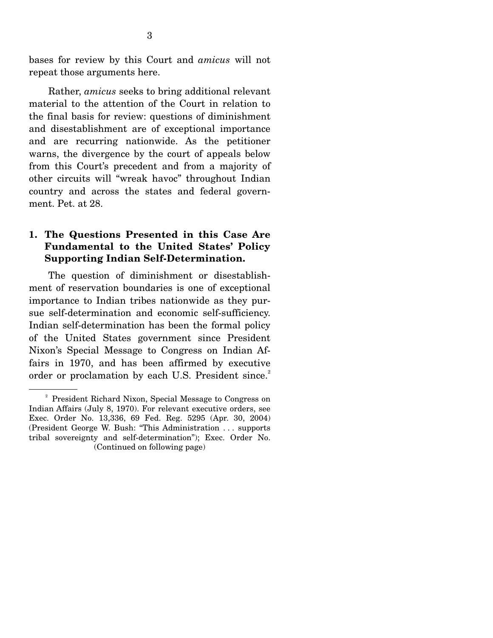bases for review by this Court and *amicus* will not repeat those arguments here.

 Rather, *amicus* seeks to bring additional relevant material to the attention of the Court in relation to the final basis for review: questions of diminishment and disestablishment are of exceptional importance and are recurring nationwide. As the petitioner warns, the divergence by the court of appeals below from this Court's precedent and from a majority of other circuits will "wreak havoc" throughout Indian country and across the states and federal government. Pet. at 28.

### **1. The Questions Presented in this Case Are Fundamental to the United States' Policy Supporting Indian Self-Determination.**

 The question of diminishment or disestablishment of reservation boundaries is one of exceptional importance to Indian tribes nationwide as they pursue self-determination and economic self-sufficiency. Indian self-determination has been the formal policy of the United States government since President Nixon's Special Message to Congress on Indian Affairs in 1970, and has been affirmed by executive order or proclamation by each U.S. President since.<sup>2</sup>

<sup>&</sup>lt;sup>2</sup> President Richard Nixon, Special Message to Congress on Indian Affairs (July 8, 1970). For relevant executive orders, see Exec. Order No. 13,336, 69 Fed. Reg. 5295 (Apr. 30, 2004) (President George W. Bush: "This Administration . . . supports tribal sovereignty and self-determination"); Exec. Order No. (Continued on following page)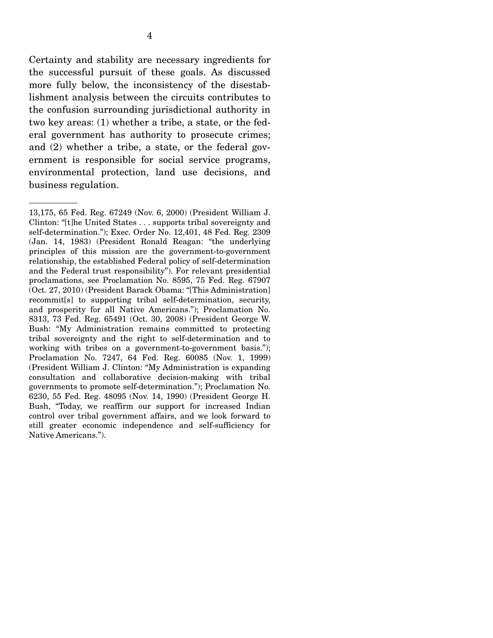Certainty and stability are necessary ingredients for the successful pursuit of these goals. As discussed more fully below, the inconsistency of the disestablishment analysis between the circuits contributes to the confusion surrounding jurisdictional authority in two key areas: (1) whether a tribe, a state, or the federal government has authority to prosecute crimes; and (2) whether a tribe, a state, or the federal government is responsible for social service programs, environmental protection, land use decisions, and business regulation.

<sup>13,175, 65</sup> Fed. Reg. 67249 (Nov. 6, 2000) (President William J. Clinton: "[t]he United States . . . supports tribal sovereignty and self-determination."); Exec. Order No. 12,401, 48 Fed. Reg. 2309 (Jan. 14, 1983) (President Ronald Reagan: "the underlying principles of this mission are the government-to-government relationship, the established Federal policy of self-determination and the Federal trust responsibility"). For relevant presidential proclamations, see Proclamation No. 8595, 75 Fed. Reg. 67907 (Oct. 27, 2010) (President Barack Obama: "[This Administration] recommit[s] to supporting tribal self-determination, security, and prosperity for all Native Americans."); Proclamation No. 8313, 73 Fed. Reg. 65491 (Oct. 30, 2008) (President George W. Bush: "My Administration remains committed to protecting tribal sovereignty and the right to self-determination and to working with tribes on a government-to-government basis."); Proclamation No. 7247, 64 Fed. Reg. 60085 (Nov. 1, 1999) (President William J. Clinton: "My Administration is expanding consultation and collaborative decision-making with tribal governments to promote self-determination."); Proclamation No. 6230, 55 Fed. Reg. 48095 (Nov. 14, 1990) (President George H. Bush, "Today, we reaffirm our support for increased Indian control over tribal government affairs, and we look forward to still greater economic independence and self-sufficiency for Native Americans.").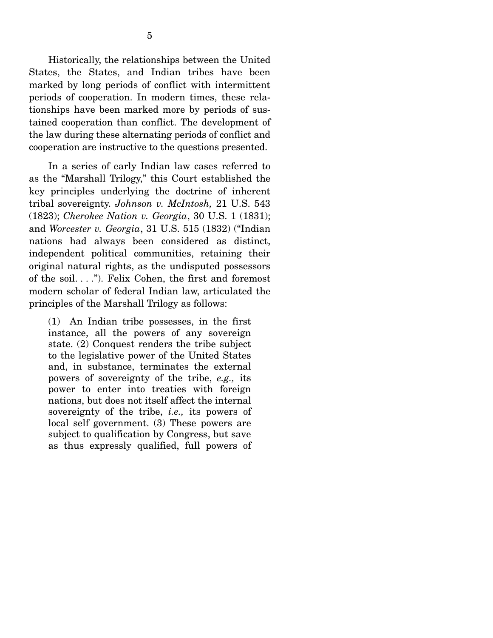Historically, the relationships between the United States, the States, and Indian tribes have been marked by long periods of conflict with intermittent periods of cooperation. In modern times, these relationships have been marked more by periods of sustained cooperation than conflict. The development of the law during these alternating periods of conflict and cooperation are instructive to the questions presented.

 In a series of early Indian law cases referred to as the "Marshall Trilogy," this Court established the key principles underlying the doctrine of inherent tribal sovereignty. *Johnson v. McIntosh,* 21 U.S. 543 (1823); *Cherokee Nation v. Georgia*, 30 U.S. 1 (1831); and *Worcester v. Georgia*, 31 U.S. 515 (1832) ("Indian nations had always been considered as distinct, independent political communities, retaining their original natural rights, as the undisputed possessors of the soil. . . ."). Felix Cohen, the first and foremost modern scholar of federal Indian law, articulated the principles of the Marshall Trilogy as follows:

(1) An Indian tribe possesses, in the first instance, all the powers of any sovereign state. (2) Conquest renders the tribe subject to the legislative power of the United States and, in substance, terminates the external powers of sovereignty of the tribe, *e.g.,* its power to enter into treaties with foreign nations, but does not itself affect the internal sovereignty of the tribe, *i.e.,* its powers of local self government. (3) These powers are subject to qualification by Congress, but save as thus expressly qualified, full powers of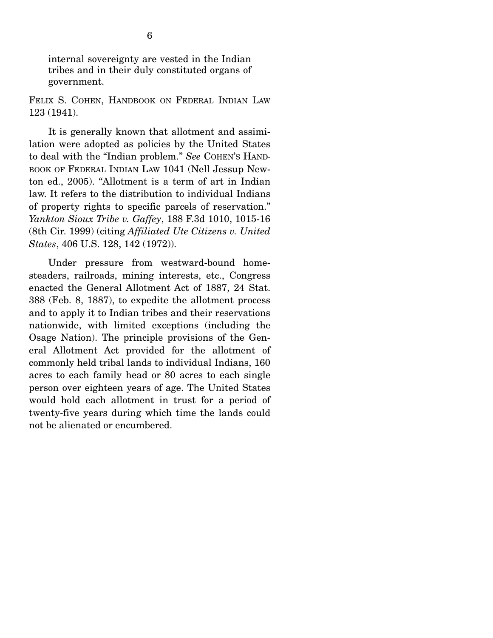internal sovereignty are vested in the Indian tribes and in their duly constituted organs of government.

FELIX S. COHEN, HANDBOOK ON FEDERAL INDIAN LAW 123 (1941).

 It is generally known that allotment and assimilation were adopted as policies by the United States to deal with the "Indian problem." *See* COHEN'S HAND-BOOK OF FEDERAL INDIAN LAW 1041 (Nell Jessup Newton ed., 2005). "Allotment is a term of art in Indian law. It refers to the distribution to individual Indians of property rights to specific parcels of reservation." *Yankton Sioux Tribe v. Gaffey*, 188 F.3d 1010, 1015-16 (8th Cir. 1999) (citing *Affiliated Ute Citizens v. United States*, 406 U.S. 128, 142 (1972)).

 Under pressure from westward-bound homesteaders, railroads, mining interests, etc., Congress enacted the General Allotment Act of 1887, 24 Stat. 388 (Feb. 8, 1887), to expedite the allotment process and to apply it to Indian tribes and their reservations nationwide, with limited exceptions (including the Osage Nation). The principle provisions of the General Allotment Act provided for the allotment of commonly held tribal lands to individual Indians, 160 acres to each family head or 80 acres to each single person over eighteen years of age. The United States would hold each allotment in trust for a period of twenty-five years during which time the lands could not be alienated or encumbered.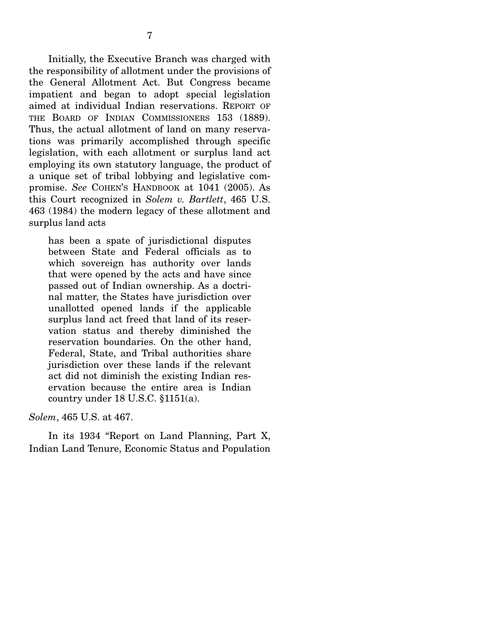Initially, the Executive Branch was charged with the responsibility of allotment under the provisions of the General Allotment Act. But Congress became impatient and began to adopt special legislation aimed at individual Indian reservations. REPORT OF THE BOARD OF INDIAN COMMISSIONERS 153 (1889). Thus, the actual allotment of land on many reservations was primarily accomplished through specific legislation, with each allotment or surplus land act employing its own statutory language, the product of a unique set of tribal lobbying and legislative compromise. *See* COHEN'S HANDBOOK at 1041 (2005). As this Court recognized in *Solem v. Bartlett*, 465 U.S. 463 (1984) the modern legacy of these allotment and surplus land acts

has been a spate of jurisdictional disputes between State and Federal officials as to which sovereign has authority over lands that were opened by the acts and have since passed out of Indian ownership. As a doctrinal matter, the States have jurisdiction over unallotted opened lands if the applicable surplus land act freed that land of its reservation status and thereby diminished the reservation boundaries. On the other hand, Federal, State, and Tribal authorities share jurisdiction over these lands if the relevant act did not diminish the existing Indian reservation because the entire area is Indian country under 18 U.S.C. §1151(a).

*Solem*, 465 U.S. at 467.

 In its 1934 "Report on Land Planning, Part X, Indian Land Tenure, Economic Status and Population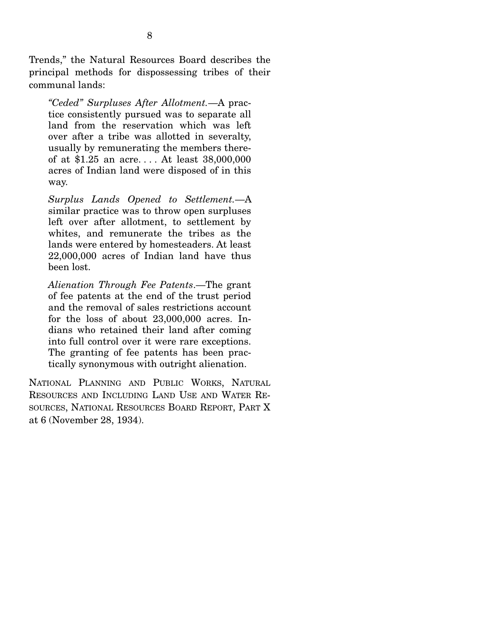Trends," the Natural Resources Board describes the principal methods for dispossessing tribes of their communal lands:

*"Ceded" Surpluses After Allotment.*—A practice consistently pursued was to separate all land from the reservation which was left over after a tribe was allotted in severalty, usually by remunerating the members thereof at \$1.25 an acre. . . . At least 38,000,000 acres of Indian land were disposed of in this way.

*Surplus Lands Opened to Settlement.*—A similar practice was to throw open surpluses left over after allotment, to settlement by whites, and remunerate the tribes as the lands were entered by homesteaders. At least 22,000,000 acres of Indian land have thus been lost.

*Alienation Through Fee Patents*.—The grant of fee patents at the end of the trust period and the removal of sales restrictions account for the loss of about 23,000,000 acres. Indians who retained their land after coming into full control over it were rare exceptions. The granting of fee patents has been practically synonymous with outright alienation.

NATIONAL PLANNING AND PUBLIC WORKS, NATURAL RESOURCES AND INCLUDING LAND USE AND WATER RE-SOURCES, NATIONAL RESOURCES BOARD REPORT, PART X at 6 (November 28, 1934).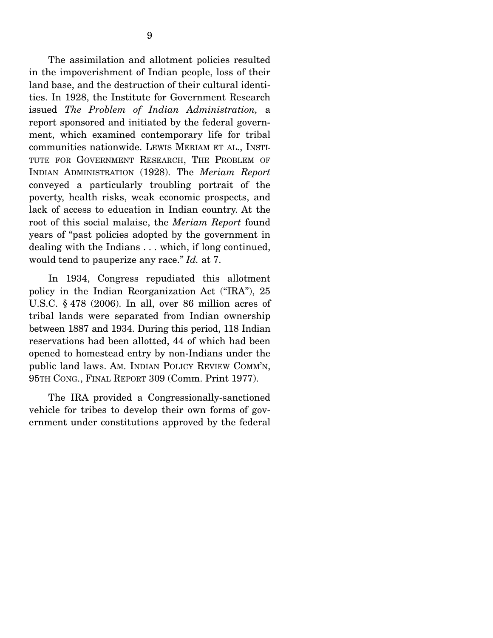The assimilation and allotment policies resulted in the impoverishment of Indian people, loss of their land base, and the destruction of their cultural identities. In 1928, the Institute for Government Research issued *The Problem of Indian Administration,* a report sponsored and initiated by the federal government, which examined contemporary life for tribal communities nationwide. LEWIS MERIAM ET AL., INSTI-TUTE FOR GOVERNMENT RESEARCH, THE PROBLEM OF INDIAN ADMINISTRATION (1928). The *Meriam Report* conveyed a particularly troubling portrait of the poverty, health risks, weak economic prospects, and lack of access to education in Indian country. At the root of this social malaise, the *Meriam Report* found years of "past policies adopted by the government in dealing with the Indians . . . which, if long continued, would tend to pauperize any race." *Id.* at 7.

 In 1934, Congress repudiated this allotment policy in the Indian Reorganization Act ("IRA"), 25 U.S.C. § 478 (2006). In all, over 86 million acres of tribal lands were separated from Indian ownership between 1887 and 1934. During this period, 118 Indian reservations had been allotted, 44 of which had been opened to homestead entry by non-Indians under the public land laws. AM. INDIAN POLICY REVIEW COMM'N, 95TH CONG., FINAL REPORT 309 (Comm. Print 1977).

 The IRA provided a Congressionally-sanctioned vehicle for tribes to develop their own forms of government under constitutions approved by the federal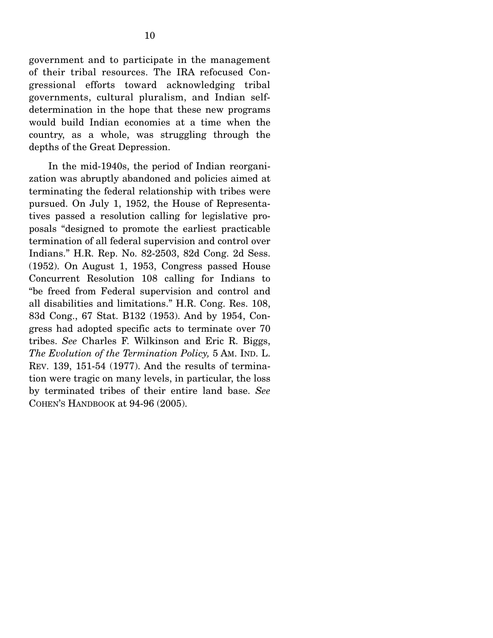government and to participate in the management of their tribal resources. The IRA refocused Congressional efforts toward acknowledging tribal governments, cultural pluralism, and Indian selfdetermination in the hope that these new programs would build Indian economies at a time when the country, as a whole, was struggling through the depths of the Great Depression.

 In the mid-1940s, the period of Indian reorganization was abruptly abandoned and policies aimed at terminating the federal relationship with tribes were pursued. On July 1, 1952, the House of Representatives passed a resolution calling for legislative proposals "designed to promote the earliest practicable termination of all federal supervision and control over Indians." H.R. Rep. No. 82-2503, 82d Cong. 2d Sess. (1952). On August 1, 1953, Congress passed House Concurrent Resolution 108 calling for Indians to "be freed from Federal supervision and control and all disabilities and limitations." H.R. Cong. Res. 108, 83d Cong., 67 Stat. B132 (1953). And by 1954, Congress had adopted specific acts to terminate over 70 tribes. *See* Charles F. Wilkinson and Eric R. Biggs, *The Evolution of the Termination Policy,* 5 AM. IND. L. REV. 139, 151-54 (1977). And the results of termination were tragic on many levels, in particular, the loss by terminated tribes of their entire land base. *See*  COHEN'S HANDBOOK at 94-96 (2005).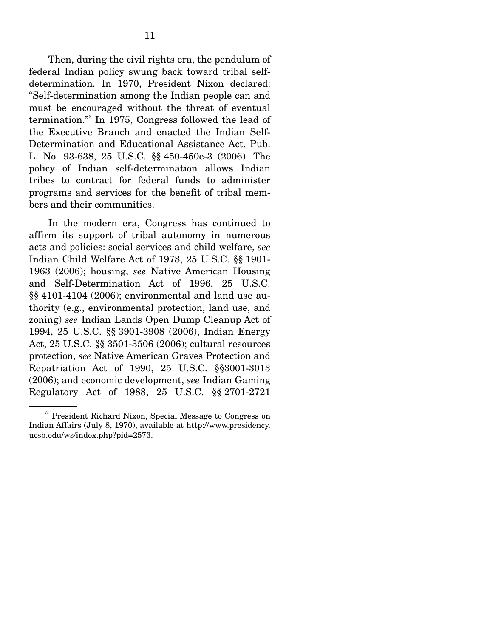Then, during the civil rights era, the pendulum of federal Indian policy swung back toward tribal selfdetermination. In 1970, President Nixon declared: "Self-determination among the Indian people can and must be encouraged without the threat of eventual termination."3 In 1975, Congress followed the lead of the Executive Branch and enacted the Indian Self-Determination and Educational Assistance Act, Pub. L. No. 93-638, 25 U.S.C. §§ 450-450e-3 (2006)*.* The policy of Indian self-determination allows Indian tribes to contract for federal funds to administer programs and services for the benefit of tribal members and their communities.

 In the modern era, Congress has continued to affirm its support of tribal autonomy in numerous acts and policies: social services and child welfare, *see* Indian Child Welfare Act of 1978, 25 U.S.C. §§ 1901- 1963 (2006); housing, *see* Native American Housing and Self-Determination Act of 1996, 25 U.S.C. §§ 4101-4104 (2006); environmental and land use authority (e.g., environmental protection, land use, and zoning) *see* Indian Lands Open Dump Cleanup Act of 1994, 25 U.S.C. §§ 3901-3908 (2006), Indian Energy Act, 25 U.S.C. §§ 3501-3506 (2006); cultural resources protection, *see* Native American Graves Protection and Repatriation Act of 1990, 25 U.S.C. §§3001-3013 (2006); and economic development, *see* Indian Gaming Regulatory Act of 1988, 25 U.S.C. §§ 2701-2721

<sup>3</sup> President Richard Nixon, Special Message to Congress on Indian Affairs (July 8, 1970), available at http://www.presidency. ucsb.edu/ws/index.php?pid=2573.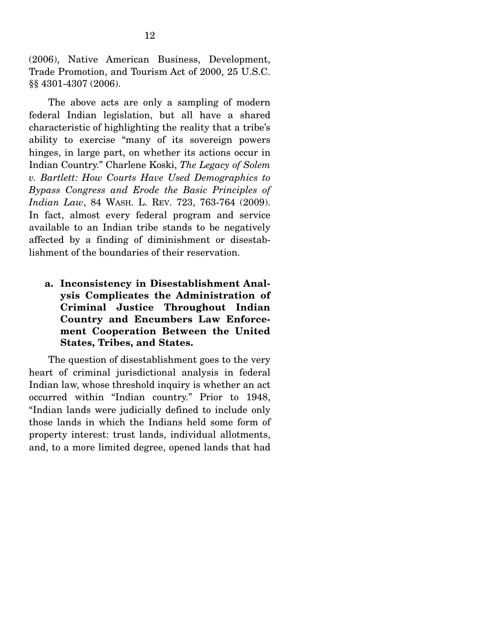(2006), Native American Business, Development, Trade Promotion, and Tourism Act of 2000, 25 U.S.C. §§ 4301-4307 (2006).

 The above acts are only a sampling of modern federal Indian legislation, but all have a shared characteristic of highlighting the reality that a tribe's ability to exercise "many of its sovereign powers hinges, in large part, on whether its actions occur in Indian Country." Charlene Koski, *The Legacy of Solem v. Bartlett: How Courts Have Used Demographics to Bypass Congress and Erode the Basic Principles of Indian Law*, 84 WASH. L. REV. 723, 763-764 (2009). In fact, almost every federal program and service available to an Indian tribe stands to be negatively affected by a finding of diminishment or disestablishment of the boundaries of their reservation.

**a. Inconsistency in Disestablishment Analysis Complicates the Administration of Criminal Justice Throughout Indian Country and Encumbers Law Enforcement Cooperation Between the United States, Tribes, and States.** 

The question of disestablishment goes to the very heart of criminal jurisdictional analysis in federal Indian law, whose threshold inquiry is whether an act occurred within "Indian country." Prior to 1948, "Indian lands were judicially defined to include only those lands in which the Indians held some form of property interest: trust lands, individual allotments, and, to a more limited degree, opened lands that had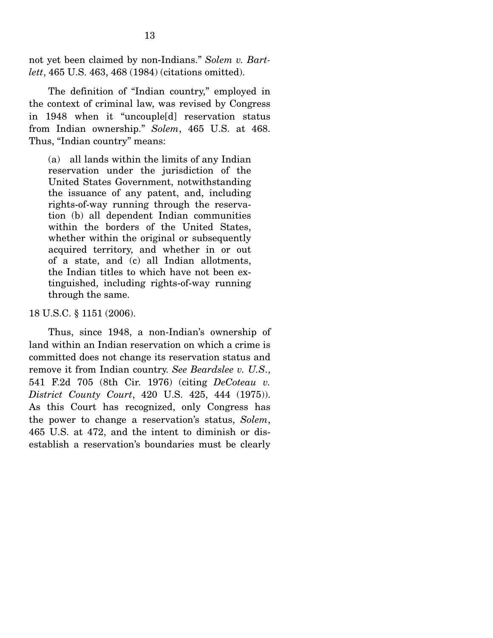not yet been claimed by non-Indians." *Solem v. Bartlett*, 465 U.S. 463, 468 (1984) (citations omitted).

The definition of "Indian country," employed in the context of criminal law, was revised by Congress in 1948 when it "uncouple[d] reservation status from Indian ownership." *Solem*, 465 U.S. at 468. Thus, "Indian country" means:

(a) all lands within the limits of any Indian reservation under the jurisdiction of the United States Government, notwithstanding the issuance of any patent, and, including rights-of-way running through the reservation (b) all dependent Indian communities within the borders of the United States, whether within the original or subsequently acquired territory, and whether in or out of a state, and (c) all Indian allotments, the Indian titles to which have not been extinguished, including rights-of-way running through the same.

#### 18 U.S.C. § 1151 (2006).

 Thus, since 1948, a non-Indian's ownership of land within an Indian reservation on which a crime is committed does not change its reservation status and remove it from Indian country. *See Beardslee v. U.S*., 541 F.2d 705 (8th Cir. 1976) (citing *DeCoteau v. District County Court*, 420 U.S. 425, 444 (1975)). As this Court has recognized, only Congress has the power to change a reservation's status, *Solem*, 465 U.S. at 472, and the intent to diminish or disestablish a reservation's boundaries must be clearly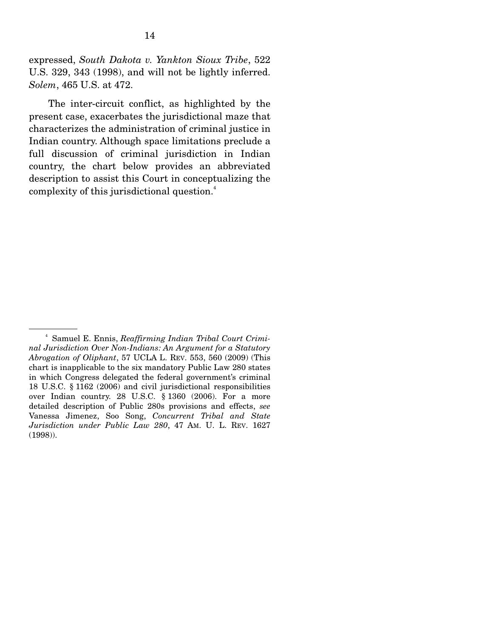expressed, *South Dakota v. Yankton Sioux Tribe*, 522 U.S. 329, 343 (1998), and will not be lightly inferred. *Solem*, 465 U.S. at 472.

 The inter-circuit conflict, as highlighted by the present case, exacerbates the jurisdictional maze that characterizes the administration of criminal justice in Indian country. Although space limitations preclude a full discussion of criminal jurisdiction in Indian country, the chart below provides an abbreviated description to assist this Court in conceptualizing the complexity of this jurisdictional question.<sup>4</sup>

<sup>4</sup> Samuel E. Ennis, *Reaffirming Indian Tribal Court Criminal Jurisdiction Over Non-Indians: An Argument for a Statutory Abrogation of Oliphant*, 57 UCLA L. REV. 553, 560 (2009) (This chart is inapplicable to the six mandatory Public Law 280 states in which Congress delegated the federal government's criminal 18 U.S.C. § 1162 (2006) and civil jurisdictional responsibilities over Indian country. 28 U.S.C. § 1360 (2006). For a more detailed description of Public 280s provisions and effects, *see* Vanessa Jimenez, Soo Song, *Concurrent Tribal and State Jurisdiction under Public Law 280*, 47 AM. U. L. REV. 1627 (1998)).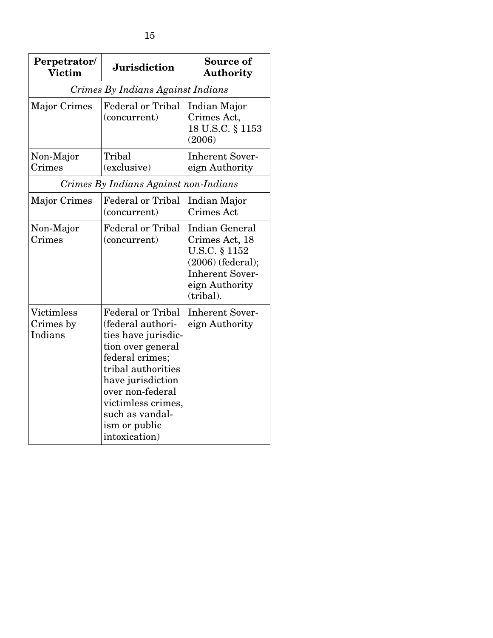| Perpetrator/<br><b>Victim</b>         | <b>Jurisdiction</b>                                                                                                                                                                                                                                    | Source of<br><b>Authority</b>                                                                                                            |  |  |  |  |
|---------------------------------------|--------------------------------------------------------------------------------------------------------------------------------------------------------------------------------------------------------------------------------------------------------|------------------------------------------------------------------------------------------------------------------------------------------|--|--|--|--|
| Crimes By Indians Against Indians     |                                                                                                                                                                                                                                                        |                                                                                                                                          |  |  |  |  |
| Major Crimes                          | <b>Federal or Tribal</b><br>(concurrent)                                                                                                                                                                                                               | Indian Major<br>Crimes Act,<br>18 U.S.C. § 1153<br>(2006)                                                                                |  |  |  |  |
| Non-Major<br>Crimes                   | Tribal<br>(exclusive)                                                                                                                                                                                                                                  | <b>Inherent Sover-</b><br>eign Authority                                                                                                 |  |  |  |  |
| Crimes By Indians Against non-Indians |                                                                                                                                                                                                                                                        |                                                                                                                                          |  |  |  |  |
| Major Crimes                          | <b>Federal or Tribal</b><br>(concurrent)                                                                                                                                                                                                               | Indian Major<br>Crimes Act                                                                                                               |  |  |  |  |
| Non-Major<br>Crimes                   | <b>Federal or Tribal</b><br>(concurrent)                                                                                                                                                                                                               | <b>Indian General</b><br>Crimes Act, 18<br>U.S.C. § 1152<br>$(2006)$ (federal);<br><b>Inherent Sover-</b><br>eign Authority<br>(tribal). |  |  |  |  |
| Victimless<br>Crimes by<br>Indians    | <b>Federal or Tribal</b><br>(federal authori-<br>ties have jurisdic-<br>tion over general<br>federal crimes;<br>tribal authorities<br>have jurisdiction<br>over non-federal<br>victimless crimes,<br>such as vandal-<br>ism or public<br>intoxication) | <b>Inherent Sover-</b><br>eign Authority                                                                                                 |  |  |  |  |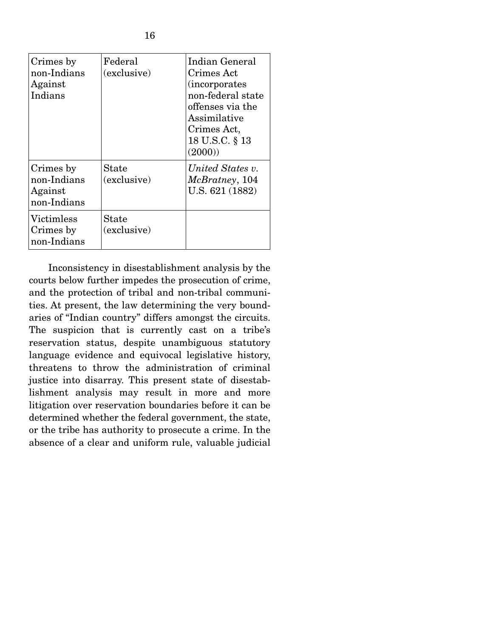| Crimes by<br>non-Indians<br>Against<br>Indians     | Federal<br>(exclusive) | Indian General<br>Crimes Act<br><i>incorporates</i><br>non-federal state<br>offenses via the<br>Assimilative<br>Crimes Act,<br>18 U.S.C. § 13<br>(2000) |
|----------------------------------------------------|------------------------|---------------------------------------------------------------------------------------------------------------------------------------------------------|
| Crimes by<br>non-Indians<br>Against<br>non-Indians | State<br>(exclusive)   | United States v.<br>McBratney, 104<br>U.S. 621 (1882)                                                                                                   |
| Victimless<br>Crimes by<br>non-Indians             | State<br>(exclusive)   |                                                                                                                                                         |

 Inconsistency in disestablishment analysis by the courts below further impedes the prosecution of crime, and the protection of tribal and non-tribal communities. At present, the law determining the very boundaries of "Indian country" differs amongst the circuits. The suspicion that is currently cast on a tribe's reservation status, despite unambiguous statutory language evidence and equivocal legislative history, threatens to throw the administration of criminal justice into disarray. This present state of disestablishment analysis may result in more and more litigation over reservation boundaries before it can be determined whether the federal government, the state, or the tribe has authority to prosecute a crime. In the absence of a clear and uniform rule, valuable judicial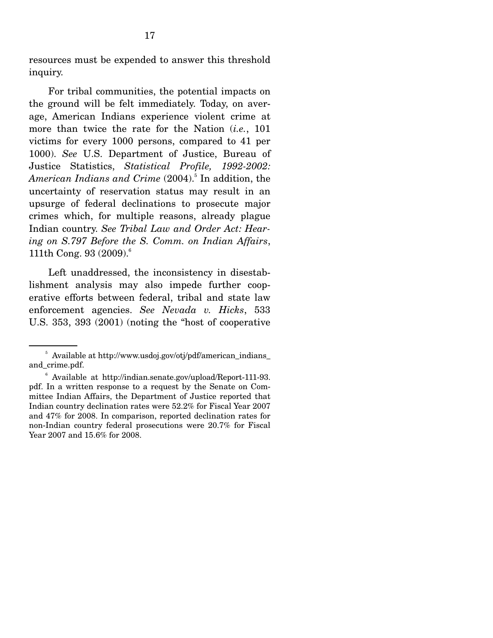resources must be expended to answer this threshold inquiry.

 For tribal communities, the potential impacts on the ground will be felt immediately. Today, on average, American Indians experience violent crime at more than twice the rate for the Nation (*i.e.*, 101 victims for every 1000 persons, compared to 41 per 1000). *See* U.S. Department of Justice, Bureau of Justice Statistics, *Statistical Profile, 1992-2002:*  American Indians and Crime (2004).<sup>5</sup> In addition, the uncertainty of reservation status may result in an upsurge of federal declinations to prosecute major crimes which, for multiple reasons, already plague Indian country. *See Tribal Law and Order Act: Hearing on S.797 Before the S. Comm. on Indian Affairs*, 111th Cong. 93  $(2009)^6$ 

 Left unaddressed, the inconsistency in disestablishment analysis may also impede further cooperative efforts between federal, tribal and state law enforcement agencies. *See Nevada v. Hicks*, 533 U.S. 353, 393 (2001) (noting the "host of cooperative

<sup>&</sup>lt;sup>5</sup> Available at http://www.usdoj.gov/otj/pdf/american\_indians\_ and\_crime.pdf.

<sup>6</sup> Available at http://indian.senate.gov/upload/Report-111-93. pdf. In a written response to a request by the Senate on Committee Indian Affairs, the Department of Justice reported that Indian country declination rates were 52.2% for Fiscal Year 2007 and 47% for 2008. In comparison, reported declination rates for non-Indian country federal prosecutions were 20.7% for Fiscal Year 2007 and 15.6% for 2008.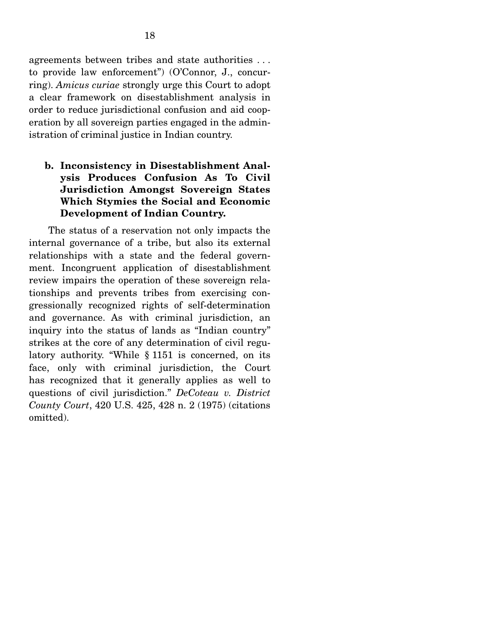agreements between tribes and state authorities . . . to provide law enforcement") (O'Connor, J., concurring). *Amicus curiae* strongly urge this Court to adopt a clear framework on disestablishment analysis in order to reduce jurisdictional confusion and aid cooperation by all sovereign parties engaged in the administration of criminal justice in Indian country.

## **b. Inconsistency in Disestablishment Analysis Produces Confusion As To Civil Jurisdiction Amongst Sovereign States Which Stymies the Social and Economic Development of Indian Country.**

The status of a reservation not only impacts the internal governance of a tribe, but also its external relationships with a state and the federal government. Incongruent application of disestablishment review impairs the operation of these sovereign relationships and prevents tribes from exercising congressionally recognized rights of self-determination and governance. As with criminal jurisdiction, an inquiry into the status of lands as "Indian country" strikes at the core of any determination of civil regulatory authority. "While § 1151 is concerned, on its face, only with criminal jurisdiction, the Court has recognized that it generally applies as well to questions of civil jurisdiction." *DeCoteau v. District County Court*, 420 U.S. 425, 428 n. 2 (1975) (citations omitted).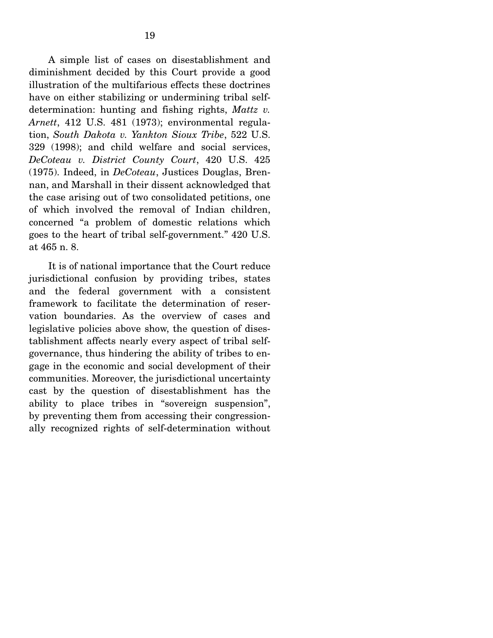A simple list of cases on disestablishment and diminishment decided by this Court provide a good illustration of the multifarious effects these doctrines have on either stabilizing or undermining tribal selfdetermination: hunting and fishing rights, *Mattz v. Arnett*, 412 U.S. 481 (1973); environmental regulation, *South Dakota v. Yankton Sioux Tribe*, 522 U.S. 329 (1998); and child welfare and social services, *DeCoteau v. District County Court*, 420 U.S. 425 (1975). Indeed, in *DeCoteau*, Justices Douglas, Brennan, and Marshall in their dissent acknowledged that the case arising out of two consolidated petitions, one of which involved the removal of Indian children, concerned "a problem of domestic relations which goes to the heart of tribal self-government." 420 U.S. at 465 n. 8.

 It is of national importance that the Court reduce jurisdictional confusion by providing tribes, states and the federal government with a consistent framework to facilitate the determination of reservation boundaries. As the overview of cases and legislative policies above show, the question of disestablishment affects nearly every aspect of tribal selfgovernance, thus hindering the ability of tribes to engage in the economic and social development of their communities. Moreover, the jurisdictional uncertainty cast by the question of disestablishment has the ability to place tribes in "sovereign suspension", by preventing them from accessing their congressionally recognized rights of self-determination without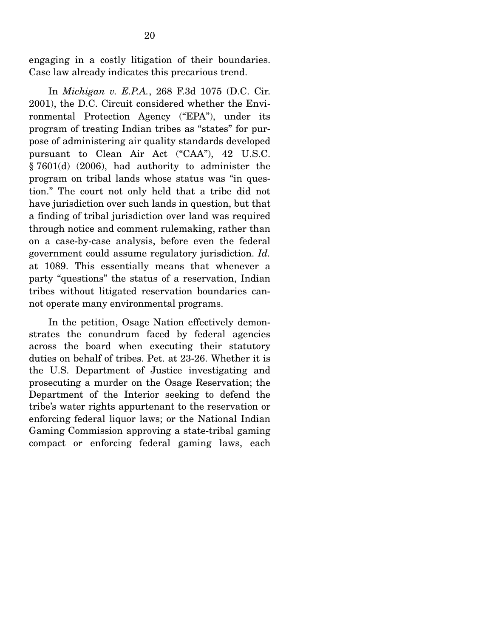engaging in a costly litigation of their boundaries. Case law already indicates this precarious trend.

 In *Michigan v. E.P.A.*, 268 F.3d 1075 (D.C. Cir. 2001), the D.C. Circuit considered whether the Environmental Protection Agency ("EPA"), under its program of treating Indian tribes as "states" for purpose of administering air quality standards developed pursuant to Clean Air Act ("CAA"), 42 U.S.C. § 7601(d) (2006), had authority to administer the program on tribal lands whose status was "in question." The court not only held that a tribe did not have jurisdiction over such lands in question, but that a finding of tribal jurisdiction over land was required through notice and comment rulemaking, rather than on a case-by-case analysis, before even the federal government could assume regulatory jurisdiction. *Id.*  at 1089. This essentially means that whenever a party "questions" the status of a reservation, Indian tribes without litigated reservation boundaries cannot operate many environmental programs.

 In the petition, Osage Nation effectively demonstrates the conundrum faced by federal agencies across the board when executing their statutory duties on behalf of tribes. Pet. at 23-26. Whether it is the U.S. Department of Justice investigating and prosecuting a murder on the Osage Reservation; the Department of the Interior seeking to defend the tribe's water rights appurtenant to the reservation or enforcing federal liquor laws; or the National Indian Gaming Commission approving a state-tribal gaming compact or enforcing federal gaming laws, each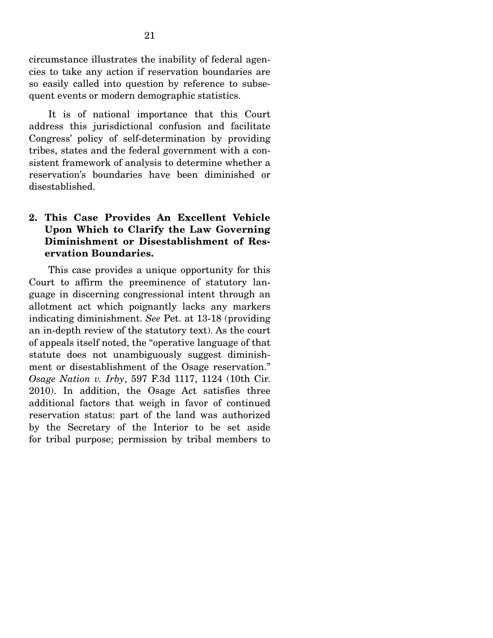circumstance illustrates the inability of federal agencies to take any action if reservation boundaries are so easily called into question by reference to subsequent events or modern demographic statistics.

 It is of national importance that this Court address this jurisdictional confusion and facilitate Congress' policy of self-determination by providing tribes, states and the federal government with a consistent framework of analysis to determine whether a reservation's boundaries have been diminished or disestablished.

## **2. This Case Provides An Excellent Vehicle Upon Which to Clarify the Law Governing Diminishment or Disestablishment of Reservation Boundaries.**

This case provides a unique opportunity for this Court to affirm the preeminence of statutory language in discerning congressional intent through an allotment act which poignantly lacks any markers indicating diminishment. *See* Pet. at 13-18 (providing an in-depth review of the statutory text). As the court of appeals itself noted, the "operative language of that statute does not unambiguously suggest diminishment or disestablishment of the Osage reservation." *Osage Nation v. Irby*, 597 F.3d 1117, 1124 (10th Cir. 2010). In addition, the Osage Act satisfies three additional factors that weigh in favor of continued reservation status: part of the land was authorized by the Secretary of the Interior to be set aside for tribal purpose; permission by tribal members to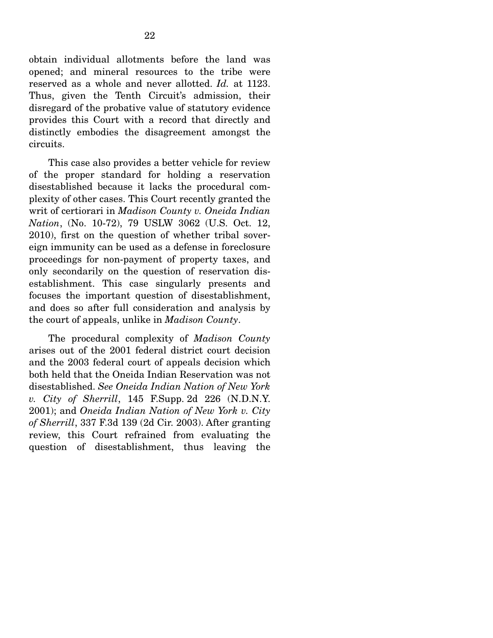obtain individual allotments before the land was opened; and mineral resources to the tribe were reserved as a whole and never allotted. *Id.* at 1123. Thus, given the Tenth Circuit's admission, their disregard of the probative value of statutory evidence provides this Court with a record that directly and distinctly embodies the disagreement amongst the circuits.

 This case also provides a better vehicle for review of the proper standard for holding a reservation disestablished because it lacks the procedural complexity of other cases. This Court recently granted the writ of certiorari in *Madison County v. Oneida Indian Nation*, (No. 10-72), 79 USLW 3062 (U.S. Oct. 12, 2010), first on the question of whether tribal sovereign immunity can be used as a defense in foreclosure proceedings for non-payment of property taxes, and only secondarily on the question of reservation disestablishment. This case singularly presents and focuses the important question of disestablishment, and does so after full consideration and analysis by the court of appeals, unlike in *Madison County*.

 The procedural complexity of *Madison County* arises out of the 2001 federal district court decision and the 2003 federal court of appeals decision which both held that the Oneida Indian Reservation was not disestablished. *See Oneida Indian Nation of New York v. City of Sherrill*, 145 F.Supp. 2d 226 (N.D.N.Y. 2001); and *Oneida Indian Nation of New York v. City of Sherrill*, 337 F.3d 139 (2d Cir. 2003). After granting review, this Court refrained from evaluating the question of disestablishment, thus leaving the